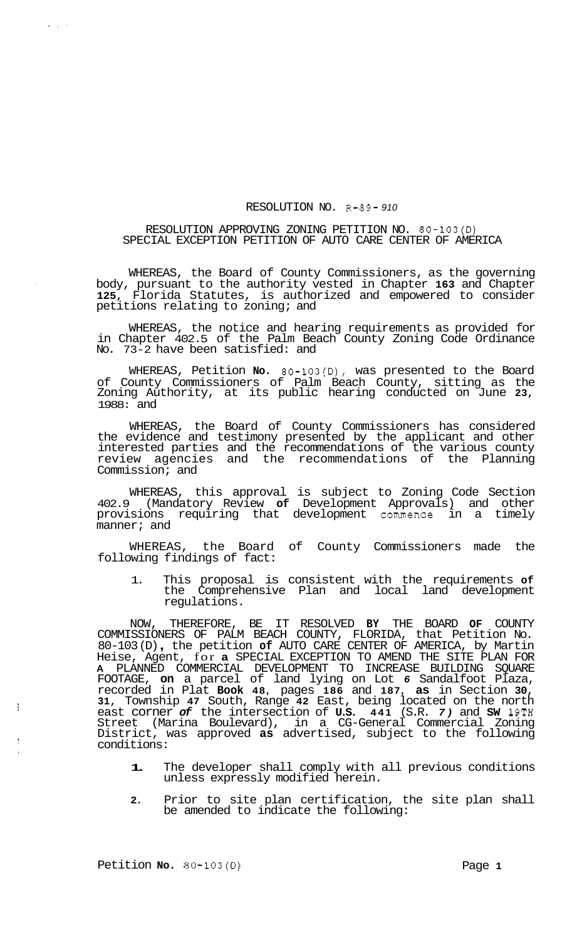## RESOLUTION NO. R-89- *910*

## RESOLUTION APPROVING ZONING PETITION NO. 80-103(D) SPECIAL EXCEPTION PETITION OF AUTO CARE CENTER OF AMERICA

WHEREAS, the Board of County Commissioners, as the governing body, pursuant to the authority vested in Chapter **163** and Chapter **125,** Florida Statutes, is authorized and empowered to consider petitions relating to zoning; and

WHEREAS, the notice and hearing requirements as provided for in Chapter 402.5 of the Palm Beach County Zoning Code Ordinance No. 73-2 have been satisfied: and

WHEREAS, Petition **No.** 80-103(D), was presented to the Board of County Commissioners of Palm Beach County, sitting as the Zoning Authority, at its public hearing conducted on June **23,**  1988: and

WHEREAS, the Board of County Commissioners has considered the evidence and testimony presented by the applicant and other interested parties and the recommendations of the various county review agencies and the recommendations of the Planning Commission; and

WHEREAS, this approval is subject to Zoning Code Section 402.9 (Mandatory Review **of** Development Approvals) and other provisions requiring that development commence in a timely manner; and

WHEREAS, the Board of County Commissioners made the following findings of fact:

1. This proposal is consistent with the requirements **of**  the Comprehensive Plan and local land development regulations.

NOW, THEREFORE, BE IT RESOLVED **BY** THE BOARD **OF** COUNTY COMMISSIONERS OF PALM BEACH COUNTY, FLORIDA, that Petition No. 80-103 (D) , the petition **of** AUTO CARE CENTER OF AMERICA, by Martin Heise, Agent, for **a** SPECIAL EXCEPTION TO AMEND THE SITE PLAN FOR **A** PLANNED COMMERCIAL DEVELOPMENT TO INCREASE BUILDING SQUARE FOOTAGE, **on** a parcel of land lying on Lot *6* Sandalfoot Plaza, recorded in Plat **Book 48,** pages **186** and **187, as** in Section **30, 31,** Township **47** South, Range **42** East, being located on the north east corner *of* the intersection of **U.S. 441** (S.R. *7)* and **SW 19TH**  Street (Marina Boulevard), in a CG-General Commercial Zoning District, was approved **as** advertised, subject to the following conditions:

- **1.** The developer shall comply with all previous conditions unless expressly modified herein.
- **2.** Prior to site plan certification, the site plan shall be amended to indicate the following:

Petition **No. 80-103(D)** Page **1** 

f

÷

 $\mathbf{y} = \mathbf{y} - \mathbf{y}$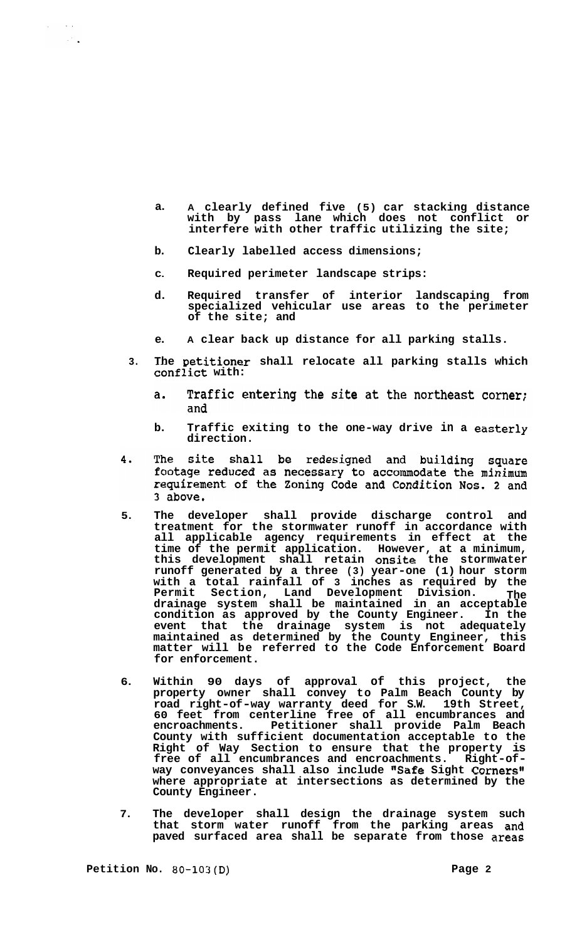- **a. A clearly defined five (5) car stacking distance with by pass lane which does not conflict or interfere with other traffic utilizing the site;**
- **b. Clearly labelled access dimensions;**
- **C. Required perimeter landscape strips:**
- **d. Required transfer of interior landscaping from specialized vehicular use areas to the perimeter of the site; and**
- **e. A clear back up distance for all parking stalls.**
- **3. The Detitioner shall relocate all parking stalls which confiict with:** 
	- Traffic entering the site at the northeast corner;  $\mathbf{a}$ . and
	- **b. Traffic exiting to the one-way drive in a easterly direction.**
- site shall be redesigned and building square 4. The footage reduced as necessary to accommodate the minimum requirement of the Zoning Code and Condition Nos. 2 and 3 above.
- **5. The developer shall provide discharge control and treatment for the stormwater runoff in accordance with all applicable agency requirements in effect at the time of the permit application. However, at a minimum, this development shall retain onsite the stormwater runoff generated by a three (3) year-one (1) hour storm with a total rainfall of 3 inches as required by the Permit Section, Land Development Division. The drainage system shall be maintained in an acceptable condition as approved by the County Engineer. In the event that the drainage system is not adequately maintained as determined by the County Engineer, this matter will be referred to the Code Enforcement Board for enforcement.**
- **6. Within 90 days of approval of this project, the property owner shall convey to Palm Beach County by road right-of-way warranty deed for S.W. 19th Street, 60 feet from centerline free of all encumbrances and encroachments. Petitioner shall provide Palm Beach County with sufficient documentation acceptable to the Right of Way Section to ensure that the property is free of all encumbrances and encroachments. Right-of- way conveyances shall also include "Safe Sight Corners" where appropriate at intersections as determined by the County Engineer.**
- **7. The developer shall design the drainage system such that storm water runoff from the parking areas and paved surfaced area shall be separate from those areas**

 $\sim 10^{11}$  .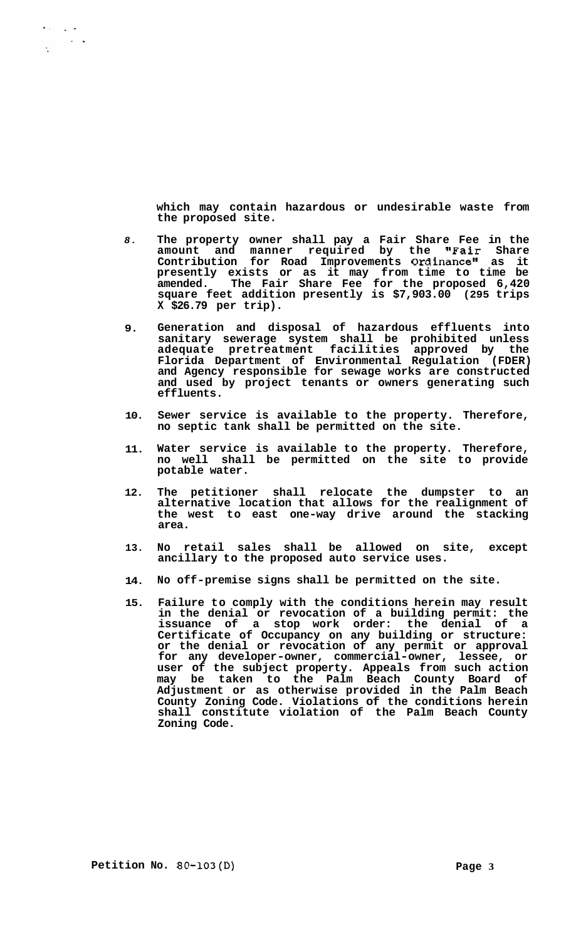**which may contain hazardous or undesirable waste from the proposed site.** 

- *8.*  **The property owner shall pay a Fair Share Fee in the amount and manner required by the "Fair Share Contribution for Road Improvements Ordinance" as it presently exists or as it may from time to time be amended. The Fair Share Fee for the proposed 6,420 square feet addition presently is \$7,903.00 (295 trips X \$26.79 per trip).**
- **9. Generation and disposal of hazardous effluents into sanitary sewerage system shall be prohibited unless adequate pretreatment facilities approved by the Florida Department of Environmental Regulation (FDER) and Agency responsible for sewage works are constructed and used by project tenants or owners generating such effluents.**
- **10. Sewer service is available to the property. Therefore, no septic tank shall be permitted on the site.**
- **11. Water service is available to the property. Therefore, no well shall be permitted on the site to provide potable water.**
- **12. The petitioner shall relocate the dumpster to an alternative location that allows for the realignment of the west to east one-way drive around the stacking area.**
- **13. No retail sales shall be allowed on site, except ancillary to the proposed auto service uses.**
- **14. No off-premise signs shall be permitted on the site.**
- **15. Failure to comply with the conditions herein may result in the denial or revocation of a building permit: the issuance of a stop work order: the denial of a Certificate of Occupancy on any building or structure: or the denial or revocation of any permit or approval for any developer-owner, commercial-owner, lessee, or user of the subject property. Appeals from such action may be taken to the Palm Beach County Board of Adjustment or as otherwise provided in the Palm Beach County Zoning Code. Violations of the conditions herein shall constitute violation of the Palm Beach County Zoning Code.**

 $\mathbf{v} \in \mathbb{R}^{d \times d}$